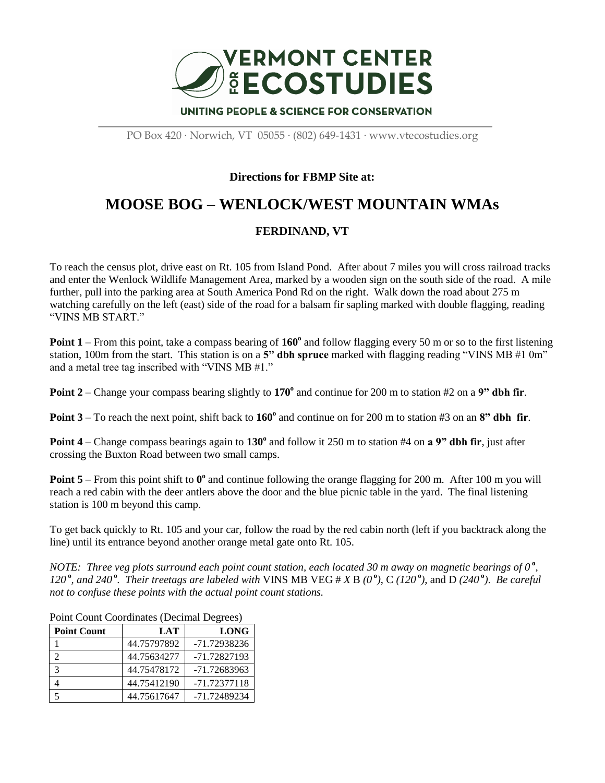

PO Box 420 · Norwich, VT 05055 · (802) 649-1431 · www.vtecostudies.org

## **Directions for FBMP Site at:**

## **MOOSE BOG – WENLOCK/WEST MOUNTAIN WMAs**

## **FERDINAND, VT**

To reach the census plot, drive east on Rt. 105 from Island Pond. After about 7 miles you will cross railroad tracks and enter the Wenlock Wildlife Management Area, marked by a wooden sign on the south side of the road. A mile further, pull into the parking area at South America Pond Rd on the right. Walk down the road about 275 m watching carefully on the left (east) side of the road for a balsam fir sapling marked with double flagging, reading "VINS MB START."

**Point 1** – From this point, take a compass bearing of 160<sup>°</sup> and follow flagging every 50 m or so to the first listening station, 100m from the start. This station is on a **5" dbh spruce** marked with flagging reading "VINS MB #1 0m" and a metal tree tag inscribed with "VINS MB #1."

**Point 2** – Change your compass bearing slightly to 170<sup>°</sup> and continue for 200 m to station #2 on a 9" dbh fir.

**Point 3** – To reach the next point, shift back to 160<sup>°</sup> and continue on for 200 m to station #3 on an 8<sup>°</sup> dbh fir.

**Point 4** – Change compass bearings again to 130<sup>°</sup> and follow it 250 m to station #4 on **a 9" dbh fir**, just after crossing the Buxton Road between two small camps.

**Point 5** – From this point shift to  $0^{\circ}$  and continue following the orange flagging for 200 m. After 100 m you will reach a red cabin with the deer antlers above the door and the blue picnic table in the yard. The final listening station is 100 m beyond this camp.

To get back quickly to Rt. 105 and your car, follow the road by the red cabin north (left if you backtrack along the line) until its entrance beyond another orange metal gate onto Rt. 105.

*NOTE: Three veg plots surround each point count station, each located 30 m away on magnetic bearings of 0*<sup>°</sup>, 120°, and 240°. Their treetags are labeled with VINS MB VEG # X B (0°), C (120°), and D (240°). Be careful *not to confuse these points with the actual point count stations.*

| Point Count Coordinates (Declinal Degrees) |             |              |
|--------------------------------------------|-------------|--------------|
| <b>Point Count</b>                         | <b>LAT</b>  | <b>LONG</b>  |
|                                            | 44.75797892 | -71.72938236 |
|                                            | 44.75634277 | -71.72827193 |
| 3                                          | 44.75478172 | -71.72683963 |
|                                            | 44.75412190 | -71.72377118 |
|                                            | 44.75617647 | -71.72489234 |

Point Count Coordinates (Decimal Degrees)